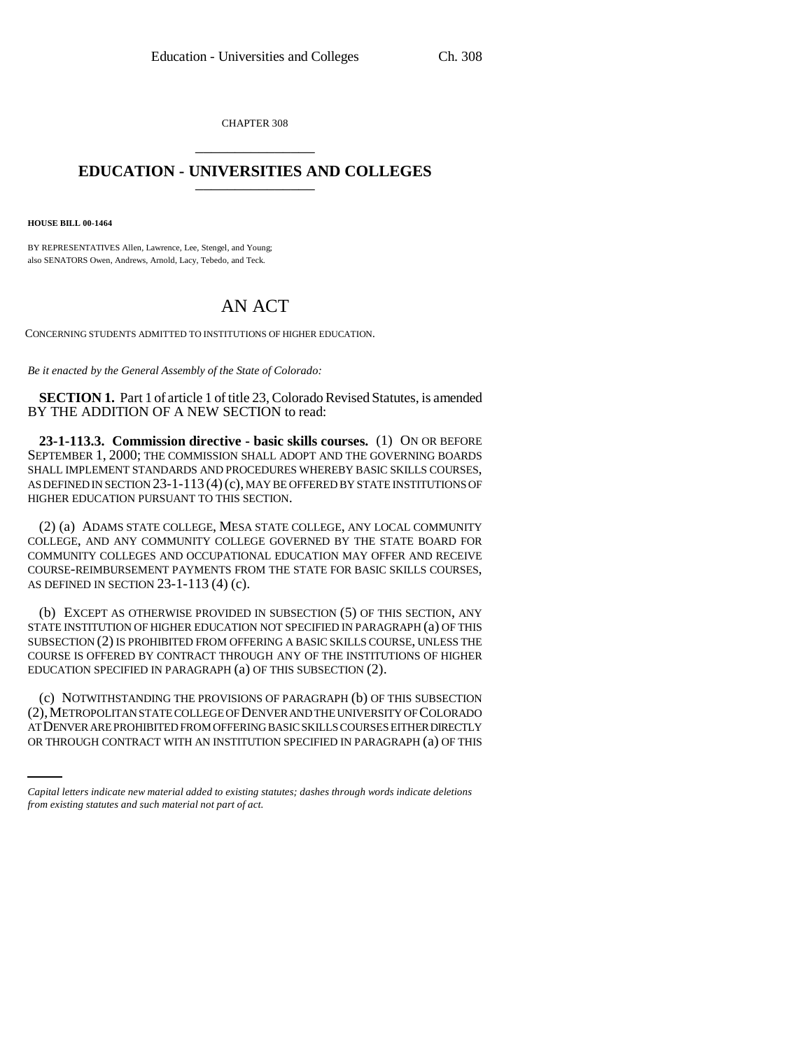CHAPTER 308 \_\_\_\_\_\_\_\_\_\_\_\_\_\_\_

## **EDUCATION - UNIVERSITIES AND COLLEGES** \_\_\_\_\_\_\_\_\_\_\_\_\_\_\_

**HOUSE BILL 00-1464** 

BY REPRESENTATIVES Allen, Lawrence, Lee, Stengel, and Young; also SENATORS Owen, Andrews, Arnold, Lacy, Tebedo, and Teck.

## AN ACT

CONCERNING STUDENTS ADMITTED TO INSTITUTIONS OF HIGHER EDUCATION.

*Be it enacted by the General Assembly of the State of Colorado:*

**SECTION 1.** Part 1 of article 1 of title 23, Colorado Revised Statutes, is amended BY THE ADDITION OF A NEW SECTION to read:

**23-1-113.3. Commission directive - basic skills courses.** (1) ON OR BEFORE SEPTEMBER 1, 2000; THE COMMISSION SHALL ADOPT AND THE GOVERNING BOARDS SHALL IMPLEMENT STANDARDS AND PROCEDURES WHEREBY BASIC SKILLS COURSES, AS DEFINED IN SECTION 23-1-113 (4)(c), MAY BE OFFERED BY STATE INSTITUTIONS OF HIGHER EDUCATION PURSUANT TO THIS SECTION.

(2) (a) ADAMS STATE COLLEGE, MESA STATE COLLEGE, ANY LOCAL COMMUNITY COLLEGE, AND ANY COMMUNITY COLLEGE GOVERNED BY THE STATE BOARD FOR COMMUNITY COLLEGES AND OCCUPATIONAL EDUCATION MAY OFFER AND RECEIVE COURSE-REIMBURSEMENT PAYMENTS FROM THE STATE FOR BASIC SKILLS COURSES, AS DEFINED IN SECTION 23-1-113 (4) (c).

(b) EXCEPT AS OTHERWISE PROVIDED IN SUBSECTION (5) OF THIS SECTION, ANY STATE INSTITUTION OF HIGHER EDUCATION NOT SPECIFIED IN PARAGRAPH (a) OF THIS SUBSECTION (2) IS PROHIBITED FROM OFFERING A BASIC SKILLS COURSE, UNLESS THE COURSE IS OFFERED BY CONTRACT THROUGH ANY OF THE INSTITUTIONS OF HIGHER EDUCATION SPECIFIED IN PARAGRAPH (a) OF THIS SUBSECTION (2).

(2), METROPOLITAN STATE COLLEGE OF DENVER AND THE UNIVERSITY OF COLORADO (c) NOTWITHSTANDING THE PROVISIONS OF PARAGRAPH (b) OF THIS SUBSECTION AT DENVER ARE PROHIBITED FROM OFFERING BASIC SKILLS COURSES EITHER DIRECTLY OR THROUGH CONTRACT WITH AN INSTITUTION SPECIFIED IN PARAGRAPH (a) OF THIS

*Capital letters indicate new material added to existing statutes; dashes through words indicate deletions from existing statutes and such material not part of act.*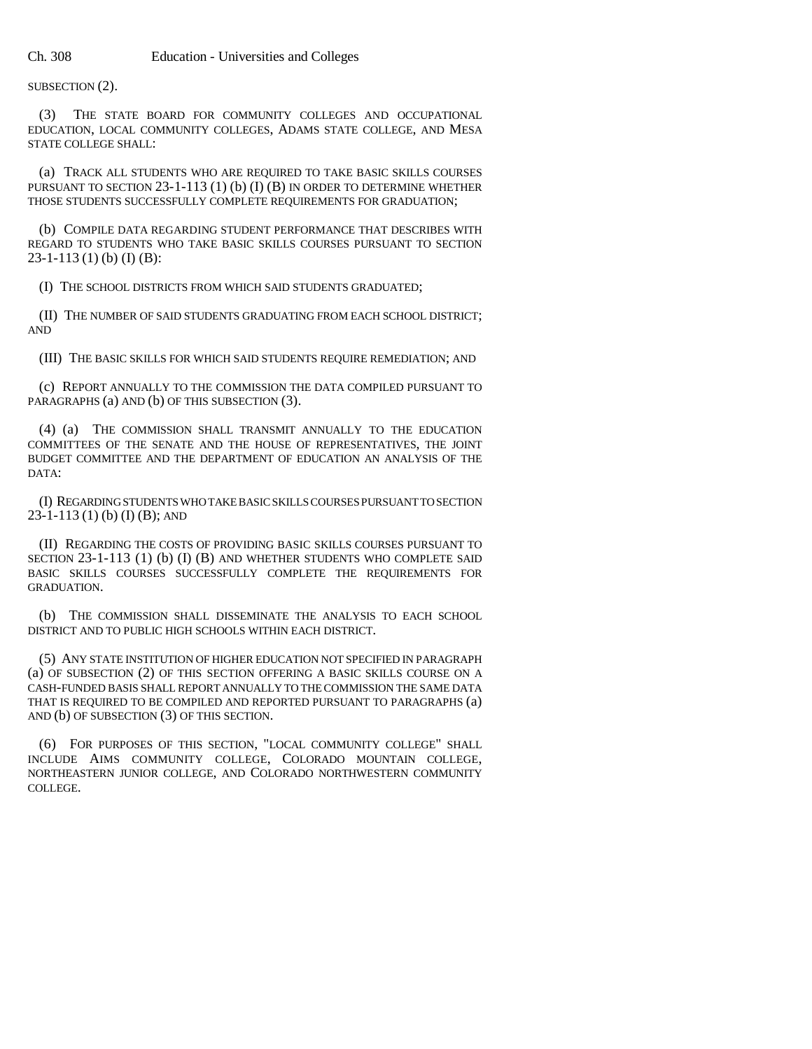SUBSECTION (2).

(3) THE STATE BOARD FOR COMMUNITY COLLEGES AND OCCUPATIONAL EDUCATION, LOCAL COMMUNITY COLLEGES, ADAMS STATE COLLEGE, AND MESA STATE COLLEGE SHALL:

(a) TRACK ALL STUDENTS WHO ARE REQUIRED TO TAKE BASIC SKILLS COURSES PURSUANT TO SECTION 23-1-113 (1) (b) (I) (B) IN ORDER TO DETERMINE WHETHER THOSE STUDENTS SUCCESSFULLY COMPLETE REQUIREMENTS FOR GRADUATION;

(b) COMPILE DATA REGARDING STUDENT PERFORMANCE THAT DESCRIBES WITH REGARD TO STUDENTS WHO TAKE BASIC SKILLS COURSES PURSUANT TO SECTION 23-1-113 (1) (b) (I) (B):

(I) THE SCHOOL DISTRICTS FROM WHICH SAID STUDENTS GRADUATED;

(II) THE NUMBER OF SAID STUDENTS GRADUATING FROM EACH SCHOOL DISTRICT; AND

(III) THE BASIC SKILLS FOR WHICH SAID STUDENTS REQUIRE REMEDIATION; AND

(c) REPORT ANNUALLY TO THE COMMISSION THE DATA COMPILED PURSUANT TO PARAGRAPHS (a) AND (b) OF THIS SUBSECTION (3).

(4) (a) THE COMMISSION SHALL TRANSMIT ANNUALLY TO THE EDUCATION COMMITTEES OF THE SENATE AND THE HOUSE OF REPRESENTATIVES, THE JOINT BUDGET COMMITTEE AND THE DEPARTMENT OF EDUCATION AN ANALYSIS OF THE DATA:

(I) REGARDING STUDENTS WHO TAKE BASIC SKILLS COURSES PURSUANT TO SECTION 23-1-113 (1) (b) (I) (B); AND

(II) REGARDING THE COSTS OF PROVIDING BASIC SKILLS COURSES PURSUANT TO SECTION 23-1-113 (1) (b) (I) (B) AND WHETHER STUDENTS WHO COMPLETE SAID BASIC SKILLS COURSES SUCCESSFULLY COMPLETE THE REQUIREMENTS FOR GRADUATION.

(b) THE COMMISSION SHALL DISSEMINATE THE ANALYSIS TO EACH SCHOOL DISTRICT AND TO PUBLIC HIGH SCHOOLS WITHIN EACH DISTRICT.

(5) ANY STATE INSTITUTION OF HIGHER EDUCATION NOT SPECIFIED IN PARAGRAPH (a) OF SUBSECTION (2) OF THIS SECTION OFFERING A BASIC SKILLS COURSE ON A CASH-FUNDED BASIS SHALL REPORT ANNUALLY TO THE COMMISSION THE SAME DATA THAT IS REQUIRED TO BE COMPILED AND REPORTED PURSUANT TO PARAGRAPHS (a) AND (b) OF SUBSECTION (3) OF THIS SECTION.

(6) FOR PURPOSES OF THIS SECTION, "LOCAL COMMUNITY COLLEGE" SHALL INCLUDE AIMS COMMUNITY COLLEGE, COLORADO MOUNTAIN COLLEGE, NORTHEASTERN JUNIOR COLLEGE, AND COLORADO NORTHWESTERN COMMUNITY COLLEGE.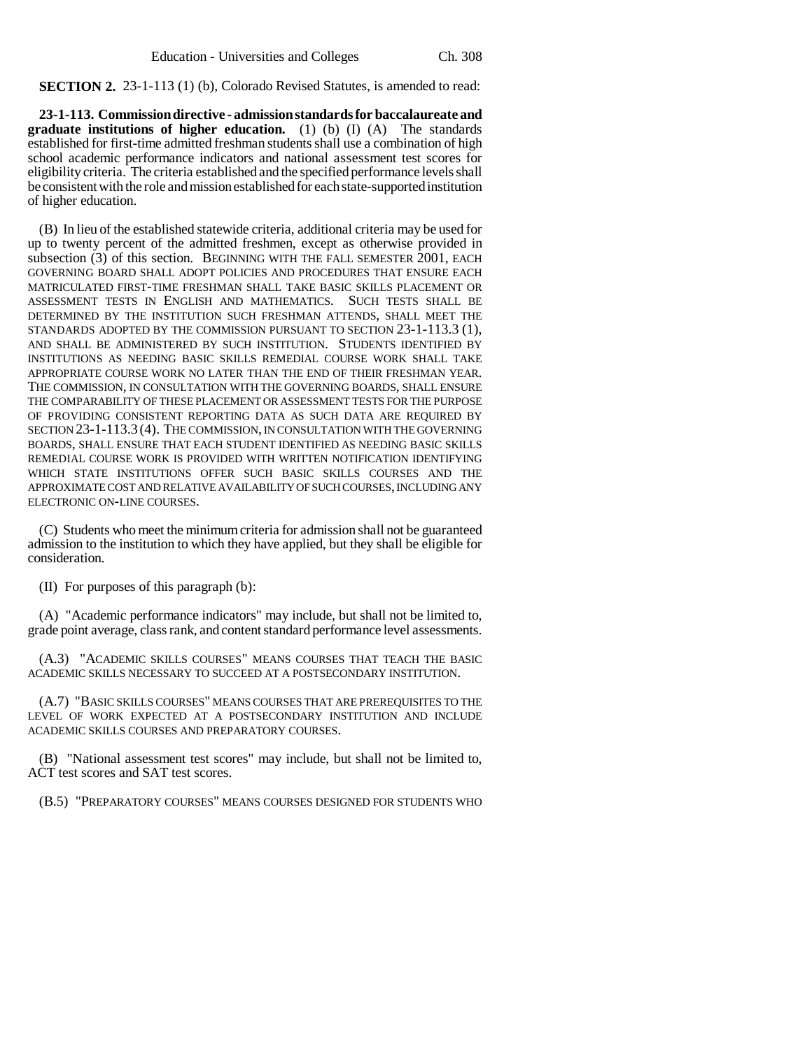**SECTION 2.** 23-1-113 (1) (b), Colorado Revised Statutes, is amended to read:

**23-1-113. Commission directive - admission standards for baccalaureate and graduate institutions of higher education.** (1) (b) (I) (A) The standards established for first-time admitted freshman students shall use a combination of high school academic performance indicators and national assessment test scores for eligibility criteria. The criteria established and the specified performance levels shall be consistent with the role and mission established for each state-supported institution of higher education.

(B) In lieu of the established statewide criteria, additional criteria may be used for up to twenty percent of the admitted freshmen, except as otherwise provided in subsection (3) of this section. BEGINNING WITH THE FALL SEMESTER 2001, EACH GOVERNING BOARD SHALL ADOPT POLICIES AND PROCEDURES THAT ENSURE EACH MATRICULATED FIRST-TIME FRESHMAN SHALL TAKE BASIC SKILLS PLACEMENT OR ASSESSMENT TESTS IN ENGLISH AND MATHEMATICS. SUCH TESTS SHALL BE DETERMINED BY THE INSTITUTION SUCH FRESHMAN ATTENDS, SHALL MEET THE STANDARDS ADOPTED BY THE COMMISSION PURSUANT TO SECTION 23-1-113.3 (1), AND SHALL BE ADMINISTERED BY SUCH INSTITUTION. STUDENTS IDENTIFIED BY INSTITUTIONS AS NEEDING BASIC SKILLS REMEDIAL COURSE WORK SHALL TAKE APPROPRIATE COURSE WORK NO LATER THAN THE END OF THEIR FRESHMAN YEAR. THE COMMISSION, IN CONSULTATION WITH THE GOVERNING BOARDS, SHALL ENSURE THE COMPARABILITY OF THESE PLACEMENT OR ASSESSMENT TESTS FOR THE PURPOSE OF PROVIDING CONSISTENT REPORTING DATA AS SUCH DATA ARE REQUIRED BY SECTION 23-1-113.3 (4). THE COMMISSION, IN CONSULTATION WITH THE GOVERNING BOARDS, SHALL ENSURE THAT EACH STUDENT IDENTIFIED AS NEEDING BASIC SKILLS REMEDIAL COURSE WORK IS PROVIDED WITH WRITTEN NOTIFICATION IDENTIFYING WHICH STATE INSTITUTIONS OFFER SUCH BASIC SKILLS COURSES AND THE APPROXIMATE COST AND RELATIVE AVAILABILITY OF SUCH COURSES, INCLUDING ANY ELECTRONIC ON-LINE COURSES.

(C) Students who meet the minimum criteria for admission shall not be guaranteed admission to the institution to which they have applied, but they shall be eligible for consideration.

(II) For purposes of this paragraph (b):

(A) "Academic performance indicators" may include, but shall not be limited to, grade point average, class rank, and content standard performance level assessments.

(A.3) "ACADEMIC SKILLS COURSES" MEANS COURSES THAT TEACH THE BASIC ACADEMIC SKILLS NECESSARY TO SUCCEED AT A POSTSECONDARY INSTITUTION.

(A.7) "BASIC SKILLS COURSES" MEANS COURSES THAT ARE PREREQUISITES TO THE LEVEL OF WORK EXPECTED AT A POSTSECONDARY INSTITUTION AND INCLUDE ACADEMIC SKILLS COURSES AND PREPARATORY COURSES.

(B) "National assessment test scores" may include, but shall not be limited to, ACT test scores and SAT test scores.

(B.5) "PREPARATORY COURSES" MEANS COURSES DESIGNED FOR STUDENTS WHO